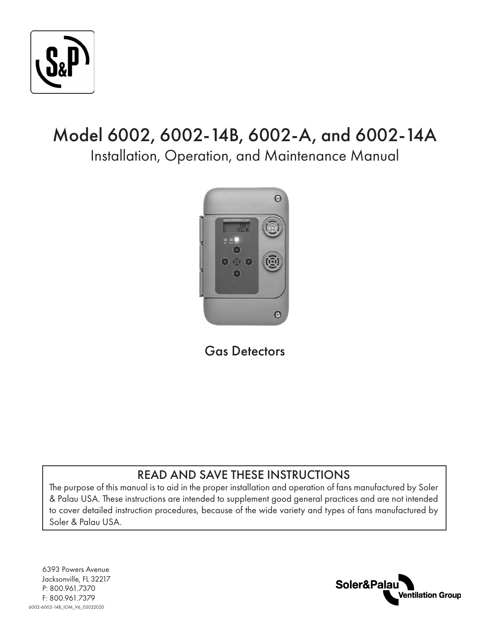

# Model 6002, 6002-14B, 6002-A, and 6002-14A

Installation, Operation, and Maintenance Manual



Gas Detectors

## READ AND SAVE THESE INSTRUCTIONS

The purpose of this manual is to aid in the proper installation and operation of fans manufactured by Soler & Palau USA. These instructions are intended to supplement good general practices and are not intended to cover detailed instruction procedures, because of the wide variety and types of fans manufactured by Soler & Palau USA.

6393 Powers Avenue Jacksonville, FL 32217 P: 800.961.7370 F: 800.961.7379 6002-6002-14B\_IOM\_V6\_03022020

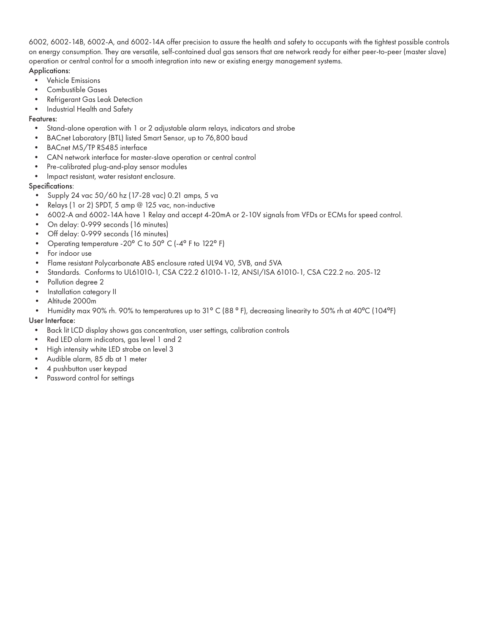6002, 6002-14B, 6002-A, and 6002-14A offer precision to assure the health and safety to occupants with the tightest possible controls on energy consumption. They are versatile, self-contained dual gas sensors that are network ready for either peer-to-peer (master slave) operation or central control for a smooth integration into new or existing energy management systems.

#### Applications:

- Vehicle Emissions
- Combustible Gases
- Refrigerant Gas Leak Detection
- Industrial Health and Safety

#### Features:

- Stand-alone operation with 1 or 2 adjustable alarm relays, indicators and strobe
- BACnet Laboratory (BTL) listed Smart Sensor, up to 76,800 baud
- BACnet MS/TP RS485 interface
- CAN network interface for master-slave operation or central control
- Pre-calibrated plug-and-play sensor modules
- Impact resistant, water resistant enclosure.

#### Specifications:

- Supply 24 vac 50/60 hz (17-28 vac) 0.21 amps, 5 va
- Relays (1 or 2) SPDT, 5 amp @ 125 vac, non-inductive
- 6002-A and 6002-14A have 1 Relay and accept 4-20mA or 2-10V signals from VFDs or ECMs for speed control.
- On delay: 0-999 seconds (16 minutes)
- Off delay: 0-999 seconds (16 minutes)
- Operating temperature -20° C to 50° C (-4° F to 122° F)
- For indoor use
- Flame resistant Polycarbonate ABS enclosure rated UL94 V0, 5VB, and 5VA
- Standards. Conforms to UL61010-1, CSA C22.2 61010-1-12, ANSI/ISA 61010-1, CSA C22.2 no. 205-12
- Pollution degree 2
- Installation category II
- Altitude 2000m
- Humidity max 90% rh. 90% to temperatures up to 31° C (88°F), decreasing linearity to 50% rh at 40°C (104°F)

#### User Interface:

- Back lit LCD display shows gas concentration, user settings, calibration controls
- Red LED alarm indicators, gas level 1 and 2
- High intensity white LED strobe on level 3
- Audible alarm, 85 db at 1 meter
- 4 pushbutton user keypad
- Password control for settings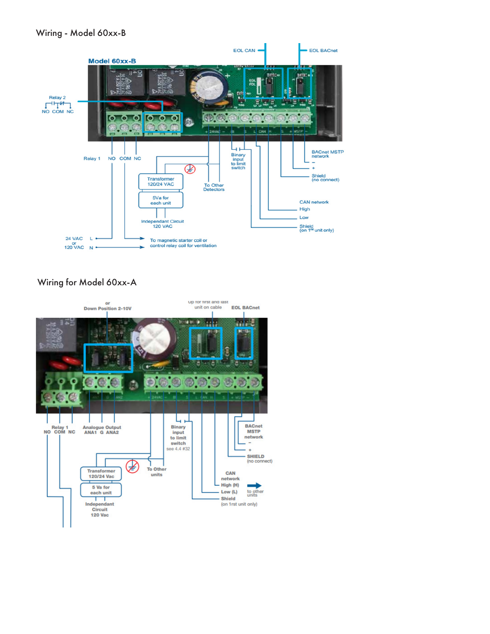### Wiring - Model 60xx-B



### Wiring for Model 60xx-A

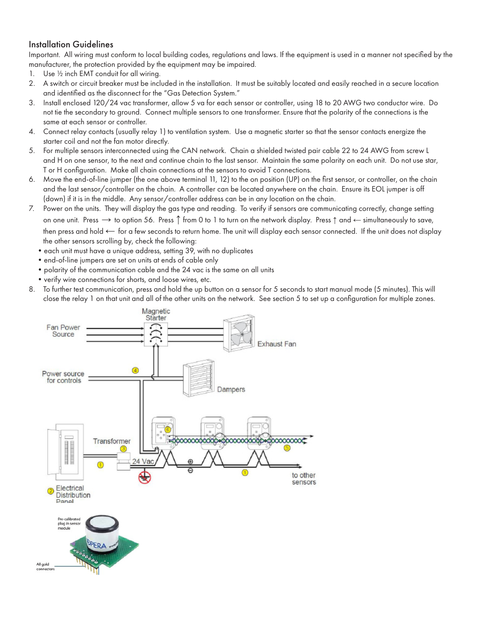### Installation Guidelines

Important. All wiring must conform to local building codes, regulations and laws. If the equipment is used in a manner not specified by the manufacturer, the protection provided by the equipment may be impaired.

- 1. Use ½ inch EMT conduit for all wiring.
- 2. A switch or circuit breaker must be included in the installation. It must be suitably located and easily reached in a secure location and identified as the disconnect for the "Gas Detection System."
- 3. Install enclosed 120/24 vac transformer, allow 5 va for each sensor or controller, using 18 to 20 AWG two conductor wire. Do not tie the secondary to ground. Connect multiple sensors to one transformer. Ensure that the polarity of the connections is the same at each sensor or controller.
- 4. Connect relay contacts (usually relay 1) to ventilation system. Use a magnetic starter so that the sensor contacts energize the starter coil and not the fan motor directly.
- 5. For multiple sensors interconnected using the CAN network. Chain a shielded twisted pair cable 22 to 24 AWG from screw L and H on one sensor, to the next and continue chain to the last sensor. Maintain the same polarity on each unit. Do not use star, T or H configuration. Make all chain connections at the sensors to avoid T connections.
- 6. Move the end-of-line jumper (the one above terminal 11, 12) to the on position (UP) on the first sensor, or controller, on the chain and the last sensor/controller on the chain. A controller can be located anywhere on the chain. Ensure its EOL jumper is off (down) if it is in the middle. Any sensor/controller address can be in any location on the chain.
- 7. Power on the units. They will display the gas type and reading. To verify if sensors are communicating correctly, change setting on one unit. Press → to option 56. Press ↑ from 0 to 1 to turn on the network display. Press ↑ and ← simultaneously to save, then press and hold ← for a few seconds to return home. The unit will display each sensor connected. If the unit does not display the other sensors scrolling by, check the following:
	- •each unit must have a unique address, setting 39, with no duplicates
	- •end-of-line jumpers are set on units at ends of cable only
	- •polarity of the communication cable and the 24 vac is the same on all units
	- •verify wire connections for shorts, and loose wires, etc.
- 8. To further test communication, press and hold the up button on a sensor for 5 seconds to start manual mode (5 minutes). This will close the relay 1 on that unit and all of the other units on the network. See section 5 to set up a configuration for multiple zones.

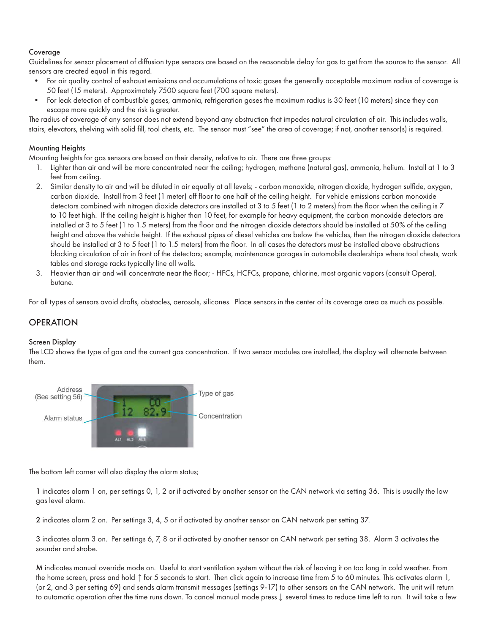### Coverage

Guidelines for sensor placement of diffusion type sensors are based on the reasonable delay for gas to get from the source to the sensor. All sensors are created equal in this regard.

- For air quality control of exhaust emissions and accumulations of toxic gases the generally acceptable maximum radius of coverage is 50 feet (15 meters). Approximately 7500 square feet (700 square meters).
- For leak detection of combustible gases, ammonia, refrigeration gases the maximum radius is 30 feet (10 meters) since they can escape more quickly and the risk is greater.

The radius of coverage of any sensor does not extend beyond any obstruction that impedes natural circulation of air. This includes walls, stairs, elevators, shelving with solid fill, tool chests, etc. The sensor must "see" the area of coverage; if not, another sensor(s) is required.

#### Mounting Heights

Mounting heights for gas sensors are based on their density, relative to air. There are three groups:

- 1. Lighter than air and will be more concentrated near the ceiling; hydrogen, methane (natural gas), ammonia, helium. Install at 1 to 3 feet from ceiling.
- 2. Similar density to air and will be diluted in air equally at all levels; carbon monoxide, nitrogen dioxide, hydrogen sulfide, oxygen, carbon dioxide. Install from 3 feet (1 meter) off floor to one half of the ceiling height. For vehicle emissions carbon monoxide detectors combined with nitrogen dioxide detectors are installed at 3 to 5 feet (1 to 2 meters) from the floor when the ceiling is 7 to 10 feet high. If the ceiling height is higher than 10 feet, for example for heavy equipment, the carbon monoxide detectors are installed at 3 to 5 feet (1 to 1.5 meters) from the floor and the nitrogen dioxide detectors should be installed at 50% of the ceiling height and above the vehicle height. If the exhaust pipes of diesel vehicles are below the vehicles, then the nitrogen dioxide detectors should be installed at 3 to 5 feet (1 to 1.5 meters) from the floor. In all cases the detectors must be installed above obstructions blocking circulation of air in front of the detectors; example, maintenance garages in automobile dealerships where tool chests, work tables and storage racks typically line all walls.
- 3. Heavier than air and will concentrate near the floor; HFCs, HCFCs, propane, chlorine, most organic vapors (consult Opera), butane.

For all types of sensors avoid drafts, obstacles, aerosols, silicones. Place sensors in the center of its coverage area as much as possible.

### **OPERATION**

#### Screen Display

The LCD shows the type of gas and the current gas concentration. If two sensor modules are installed, the display will alternate between them.



The bottom left corner will also display the alarm status;

1 indicates alarm 1 on, per settings 0, 1, 2 or if activated by another sensor on the CAN network via setting 36. This is usually the low gas level alarm.

2 indicates alarm 2 on. Per settings 3, 4, 5 or if activated by another sensor on CAN network per setting 37.

3 indicates alarm 3 on. Per settings 6, 7, 8 or if activated by another sensor on CAN network per setting 38. Alarm 3 activates the sounder and strobe.

M indicates manual override mode on. Useful to start ventilation system without the risk of leaving it on too long in cold weather. From the home screen, press and hold ↑ for 5 seconds to start. Then click again to increase time from 5 to 60 minutes. This activates alarm 1, (or 2, and 3 per setting 69) and sends alarm transmit messages (settings 9-17) to other sensors on the CAN network. The unit will return to automatic operation after the time runs down. To cancel manual mode press ↓ several times to reduce time left to run. It will take a few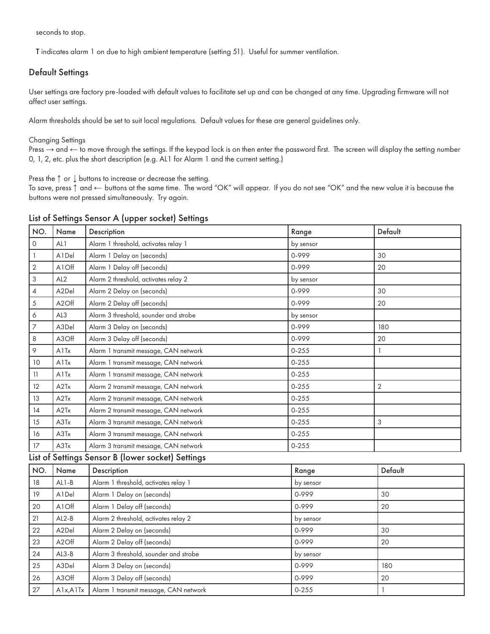seconds to stop.

T indicates alarm 1 on due to high ambient temperature (setting 51). Useful for summer ventilation.

### Default Settings

User settings are factory pre-loaded with default values to facilitate set up and can be changed at any time. Upgrading firmware will not affect user settings.

Alarm thresholds should be set to suit local regulations. Default values for these are general guidelines only.

#### Changing Settings

Press  $\rightarrow$  and  $\leftarrow$  to move through the settings. If the keypad lock is on then enter the password first. The screen will display the setting number 0, 1, 2, etc. plus the short description (e.g. AL1 for Alarm 1 and the current setting.)

Press the ↑ or ↓ buttons to increase or decrease the setting.

To save, press ↑ and ← buttons at the same time. The word "OK" will appear. If you do not see "OK" and the new value it is because the buttons were not pressed simultaneously. Try again.

| NO.                       | Name               | Description                                       | Range     | Default        |
|---------------------------|--------------------|---------------------------------------------------|-----------|----------------|
| $\mathsf O$               | AL1                | Alarm 1 threshold, activates relay 1              | by sensor |                |
| $\mathbf{1}$              | A1Del              | Alarm 1 Delay on (seconds)                        | 0-999     | 30             |
| $\sqrt{2}$                | A1Off              | Alarm 1 Delay off (seconds)                       | 0-999     | 20             |
| $\ensuremath{\mathsf{3}}$ | AL <sub>2</sub>    | Alarm 2 threshold, activates relay 2              | by sensor |                |
| $\sqrt{4}$                | A2Del              | Alarm 2 Delay on (seconds)                        | 0-999     | 30             |
| $\sqrt{5}$                | A <sub>2</sub> Off | Alarm 2 Delay off (seconds)                       | 0-999     | 20             |
| $\acute{\rm{o}}$          | AL3                | Alarm 3 threshold, sounder and strobe             | by sensor |                |
| $\overline{7}$            | A3Del              | Alarm 3 Delay on (seconds)                        | 0-999     | 180            |
| 8                         | A3Off              | Alarm 3 Delay off (seconds)                       | 0-999     | 20             |
| 9                         | A1Tx               | Alarm 1 transmit message, CAN network             | $0 - 255$ | 1              |
| 10                        | A1Tx               | Alarm 1 transmit message, CAN network             | $0 - 255$ |                |
| 11                        | A1Tx               | Alarm 1 transmit message, CAN network             | $0 - 255$ |                |
| 12                        | A2Tx               | Alarm 2 transmit message, CAN network             | $0 - 255$ | $\overline{2}$ |
| 13                        | A2Tx               | Alarm 2 transmit message, CAN network             | $0 - 255$ |                |
| 14                        | A2Tx               | Alarm 2 transmit message, CAN network             | $0 - 255$ |                |
| 15                        | A3Tx               | Alarm 3 transmit message, CAN network             | $0 - 255$ | 3              |
| 16                        | A3Tx               | Alarm 3 transmit message, CAN network             | $0 - 255$ |                |
| 17                        | A3Tx               | Alarm 3 transmit message, CAN network             | $0 - 255$ |                |
|                           |                    | List of Settings Sensor B (lower socket) Settings |           |                |
| NO.                       | Name               | Description                                       | Range     | Default        |
| 18                        | $AL1-B$            | Alarm 1 threshold, activates relay 1              | by sensor |                |
| 19                        | A1Del              | Alarm 1 Delay on (seconds)                        | 0-999     | 30             |
| 20                        | A1Off              | Alarm 1 Delay off (seconds)                       | 0-999     | 20             |
| 21                        | $AL2-B$            | Alarm 2 threshold, activates relay 2              | by sensor |                |
| 22                        | A2Del              | Alarm 2 Delay on (seconds)                        | 0-999     | 30             |
| 23                        | A <sub>2</sub> Off | Alarm 2 Delay off (seconds)                       | 0-999     | 20             |
| 24                        | $AL3-B$            | Alarm 3 threshold, sounder and strobe             | by sensor |                |
| 25                        | A3Del              | Alarm 3 Delay on (seconds)                        | 0-999     | 180            |
| 26                        | A3Off              | Alarm 3 Delay off (seconds)                       | 0-999     | 20             |
| 27                        | A1x, A1Tx          | Alarm 1 transmit message, CAN network             | $0 - 255$ | $\mathbf{1}$   |

#### List of Settings Sensor A (upper socket) Settings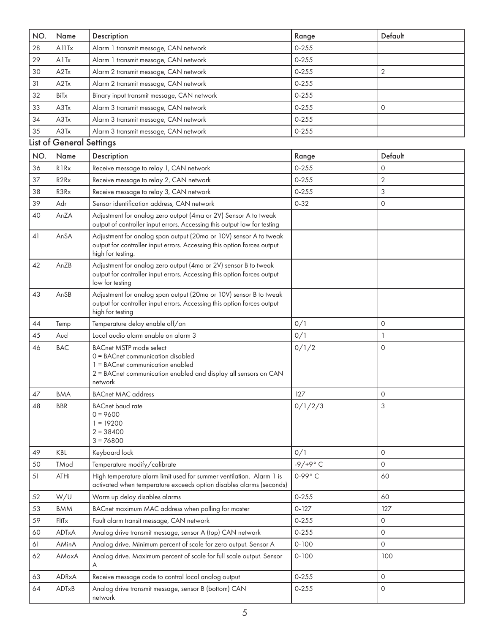| NO. | Name                           | Description                                                                                                                                                                           | Range          | Default             |
|-----|--------------------------------|---------------------------------------------------------------------------------------------------------------------------------------------------------------------------------------|----------------|---------------------|
| 28  | A <sub>11</sub> T <sub>x</sub> | Alarm 1 transmit message, CAN network                                                                                                                                                 | $0 - 255$      |                     |
| 29  | A1Tx                           | Alarm 1 transmit message, CAN network                                                                                                                                                 | $0 - 255$      |                     |
| 30  | A2Tx                           | Alarm 2 transmit message, CAN network                                                                                                                                                 | $0 - 255$      | $\overline{2}$      |
| 31  | A2Tx                           | Alarm 2 transmit message, CAN network                                                                                                                                                 | $0 - 255$      |                     |
| 32  | BiTx                           | Binary input transmit message, CAN network                                                                                                                                            | $0 - 255$      |                     |
| 33  | A3Tx                           | Alarm 3 transmit message, CAN network                                                                                                                                                 | $0 - 255$      | 0                   |
| 34  | A3Tx                           | Alarm 3 transmit message, CAN network                                                                                                                                                 | $0 - 255$      |                     |
| 35  | A3Tx                           | Alarm 3 transmit message, CAN network                                                                                                                                                 | $0 - 255$      |                     |
|     | List of General Settings       |                                                                                                                                                                                       |                |                     |
| NO. | Name                           | Description                                                                                                                                                                           | Range          | Default             |
| 36  | R <sub>1</sub> R <sub>x</sub>  | Receive message to relay 1, CAN network                                                                                                                                               | $0 - 255$      | 0                   |
| 37  | R2Rx                           | Receive message to relay 2, CAN network                                                                                                                                               | $0 - 255$      | $\overline{2}$      |
| 38  | R3Rx                           | Receive message to relay 3, CAN network                                                                                                                                               | $0 - 255$      | 3                   |
| 39  | Adr                            | Sensor identification address, CAN network                                                                                                                                            | $0 - 32$       | $\mathsf{O}\xspace$ |
| 40  | AnZA                           | Adjustment for analog zero outpot (4ma or 2V) Sensor A to tweak                                                                                                                       |                |                     |
|     |                                | output of controller input errors. Accessing this output low for testing                                                                                                              |                |                     |
| 41  | AnSA                           | Adjustment for analog span output (20ma or 10V) sensor A to tweak<br>output for controller input errors. Accessing this option forces output<br>high for testing.                     |                |                     |
| 42  | AnZB                           | Adjustment for analog zero output (4ma or 2V) sensor B to tweak<br>output for controller input errors. Accessing this option forces output<br>low for testing                         |                |                     |
| 43  | AnSB                           | Adjustment for analog span output (20ma or 10V) sensor B to tweak<br>output for controller input errors. Accessing this option forces output<br>high for testing                      |                |                     |
| 44  | Temp                           | Temperature delay enable off/on                                                                                                                                                       | 0/1            | 0                   |
| 45  | Aud                            | Local audio alarm enable on alarm 3                                                                                                                                                   | 0/1            | $\mathbf{1}$        |
| 46  | <b>BAC</b>                     | <b>BACnet MSTP mode select</b><br>0 = BACnet communication disabled<br>1 = BACnet communication enabled<br>2 = BACnet communication enabled and display all sensors on CAN<br>network | 0/1/2          | 0                   |
| 47  | <b>BMA</b>                     | <b>BACnet MAC address</b>                                                                                                                                                             | 127            | 0                   |
| 48  | <b>BBR</b>                     | <b>BACnet</b> baud rate<br>$0 = 9600$<br>$1 = 19200$<br>$2 = 38400$<br>$3 = 76800$                                                                                                    | 0/1/2/3        | 3                   |
| 49  | <b>KBL</b>                     | Keyboard lock                                                                                                                                                                         | 0/1            | $\Omega$            |
| 50  | <b>TMod</b>                    | Temperature modify/calibrate                                                                                                                                                          | $-9/ +9°$ C    | $\Omega$            |
| 51  | ATHi                           | High temperature alarm limit used for summer ventilation. Alarm 1 is<br>activated when temperature exceeds option disables alarms (seconds)                                           | $0-99^\circ C$ | 60                  |
| 52  | W/U                            | Warm up delay disables alarms                                                                                                                                                         | $0 - 255$      | 60                  |
| 53  | <b>BMM</b>                     | BACnet maximum MAC address when polling for master                                                                                                                                    | $0 - 127$      | 127                 |
| 59  | FltTx                          | Fault alarm transit message, CAN network                                                                                                                                              | $0 - 255$      | 0                   |
| 60  | ADTxA                          | Analog drive transmit message, sensor A (top) CAN network                                                                                                                             | $0 - 255$      | 0                   |
| 61  | AMinA                          | Analog drive. Minimum percent of scale for zero output. Sensor A                                                                                                                      | $0 - 100$      | 0                   |
| 62  | AMaxA                          | Analog drive. Maximum percent of scale for full scale output. Sensor                                                                                                                  | $0 - 100$      | 100                 |
| 63  | ADRxA                          | Receive message code to control local analog output                                                                                                                                   | $0 - 255$      | 0                   |
| 64  | ADTxB                          | Analog drive transmit message, sensor B (bottom) CAN<br>network                                                                                                                       | $0 - 255$      | 0                   |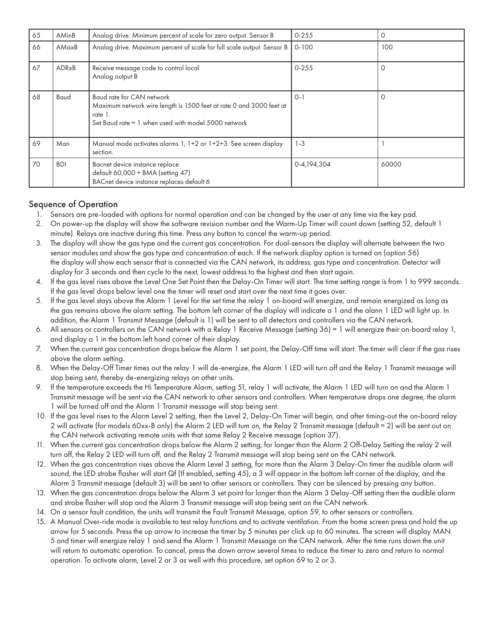| 65 | AMinB        | Analog drive. Minimum percent of scale for zero output. Sensor B                                                                                                   | $0 - 255$   | 0        |
|----|--------------|--------------------------------------------------------------------------------------------------------------------------------------------------------------------|-------------|----------|
| 66 | AMaxB        | Analog drive. Maximum percent of scale for full scale output. Sensor B                                                                                             | $0 - 100$   | 100      |
| 67 | <b>ADRxB</b> | Receive message code to control local<br>Analog output B                                                                                                           | $0 - 255$   | $\Omega$ |
| 68 | Baud         | Baud rate for CAN network<br>Maximum network wire length is 1500 feet at rate 0 and 3000 feet at<br>rate 1.<br>Set Baud rate = 1 when used with model 5000 network | $0 - 1$     | $\Omega$ |
| 69 | Man          | Manual mode activates alarms 1, 1+2 or 1+2+3. See screen display<br>section.                                                                                       | $1 - 3$     |          |
| 70 | <b>BDI</b>   | Bacnet device instance replace<br>default 60,000 + BMA (setting 47)<br>BACnet device instance replaces default 6                                                   | 0-4,194,304 | 60000    |

### Sequence of Operation

- 1. Sensors are pre-loaded with options for normal operation and can be changed by the user at any time via the key pad.
- 2. On power-up the display will show the software revision number and the Warm-Up Timer will count down (setting 52, default 1 minute). Relays are inactive during this time. Press any button to cancel the warm-up period.
- 3. The display will show the gas type and the current gas concentration. For dual-sensors the display will alternate between the two sensor modules and show the gas type and concentration of each. If the network display option is turned on (option 56) the display will show each sensor that is connected via the CAN network, its address, gas type and concentration. Detector will display for 3 seconds and then cycle to the next, lowest address to the highest and then start again.
- 4. If the gas level rises above the Level One Set Point then the Delay-On Timer will start. The time setting range is from 1 to 999 seconds. If the gas level drops below level one the timer will reset and start over the next time it goes over.
- 5. If the gas level stays above the Alarm 1 Level for the set time the relay 1 on-board will energize, and remain energized as long as the gas remains above the alarm setting. The bottom left corner of the display will indicate a 1 and the alann 1 LED will light up. In addition, the Alarm 1 Transmit Message (default is 1) will be sent to all detectors and controllers via the CAN network.
- 6. All sensors or controllers on the CAN network with a Relay 1 Receive Message (setting 36) = 1 will energize their on-board relay 1, and display a 1 in the bottom left hand corner of their display.
- 7. When the current gas concentration drops below the Alarm 1 set point, the Delay-Off time will start. The timer will clear if the gas rises above the alarm setting.
- 8. When the Delay-Off Timer times out the relay 1 will de-energize, the Alarm 1 LED will turn off and the Relay 1 Transmit message will stop being sent, thereby de-energizing relays on other units.
- 9. If the temperature exceeds the Hi Temperature Alarm, setting 51, relay 1 will activate, the Alarm 1 LED will turn on and the Alarm 1 Transmit message will be sent via the CAN network to other sensors and controllers. When temperature drops one degree, the alarm 1 will be turned off and the Alarm 1 Transmit message will stop being sent.
- 10. If the gas level rises to the Alarm Level 2 setting, then the Level 2, Delay-On Timer will begin, and after timing-out the on-board relay 2 will activate (for models 60xx-B only) the Alarm 2 LED will tum on, the Relay 2 Transmit message (default = 2) will be sent out on the CAN network activating remote units with that same Relay 2 Receive message (option 37).
- 11. When the current gas concentration drops below the Alarm 2 setting, for longer than the Alarm 2 Off-Delay Setting the relay 2 will turn off, the Relay 2 LED will turn off, and the Relay 2 Transmit message will stop being sent on the CAN network.
- 12. When the gas concentration rises above the Alarm Level 3 setting, for more than the Alarm 3 Delay-On timer the audible alarm will sound, the LED strobe flasher will start Qf (If enabled, setting 45), a 3 will appear in the bottom left corner of the display, and the Alarm 3 Transmit message (default 3) will be sent to other sensors or controllers. They can be silenced by pressing any button.
- 13. When the gas concentration drops below the Alarm 3 set point for longer than the Alarm 3 Delay-Off setting then the audible alarm and strobe flasher will stop and the Alarm 3 Transmit message will stop being sent on the CAN network.
- 14. On a sensor fault condition, the units will transmit the Fault Transmit Message, option 59, to other sensors or controllers.
- 15. A Manual Over-ride mode is available to test relay functions and to activate ventilation. From the home screen press and hold the up arrow for 5 seconds. Press the up arrow to increase the timer by 5 minutes per click up to 60 minutes. The screen will display MAN 5 and timer will energize relay 1 and send the Alarm 1 Transmit Message on the CAN network. After the time runs down the unit will return to automatic operation. To cancel, press the down arrow several times to reduce the timer to zero and return to normal operation. To activate alarm, Level 2 or 3 as well with this procedure, set option 69 to 2 or 3.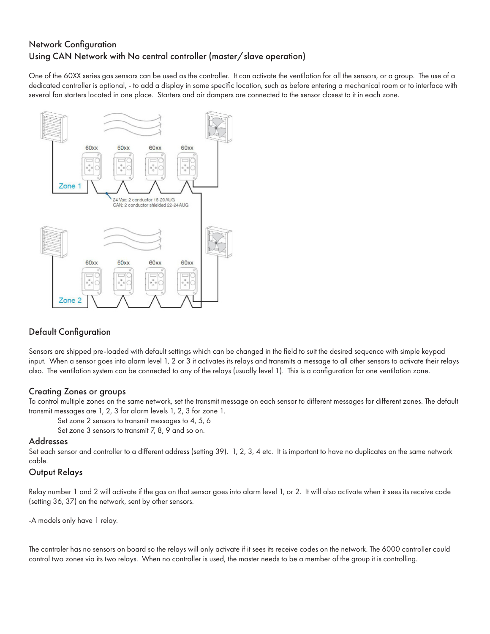### Network Configuration Using CAN Network with No central controller (master/slave operation)

One of the 60XX series gas sensors can be used as the controller. It can activate the ventilation for all the sensors, or a group. The use of a dedicated controller is optional, - to add a display in some specific location, such as before entering a mechanical room or to interface with several fan starters located in one place. Starters and air dampers are connected to the sensor closest to it in each zone.



### Default Configuration

Sensors are shipped pre-loaded with default settings which can be changed in the field to suit the desired sequence with simple keypad input. When a sensor goes into alarm level 1, 2 or 3 it activates its relays and transmits a message to all other sensors to activate their relays also. The ventilation system can be connected to any of the relays (usually level 1). This is a configuration for one ventilation zone.

### Creating Zones or groups

To control multiple zones on the same network, set the transmit message on each sensor to different messages for different zones. The default transmit messages are 1, 2, 3 for alarm levels 1, 2, 3 for zone 1.

Set zone 2 sensors to transmit messages to 4, 5, 6

Set zone 3 sensors to transmit 7, 8, 9 and so on.

#### Addresses

Set each sensor and controller to a different address (setting 39). 1, 2, 3, 4 etc. It is important to have no duplicates on the same network cable.

### Output Relays

Relay number 1 and 2 will activate if the gas on that sensor goes into alarm level 1, or 2. It will also activate when it sees its receive code (setting 36, 37) on the network, sent by other sensors.

-A models only have 1 relay.

The controler has no sensors on board so the relays will only activate if it sees its receive codes on the network. The 6000 controller could control two zones via its two relays. When no controller is used, the master needs to be a member of the group it is controlling.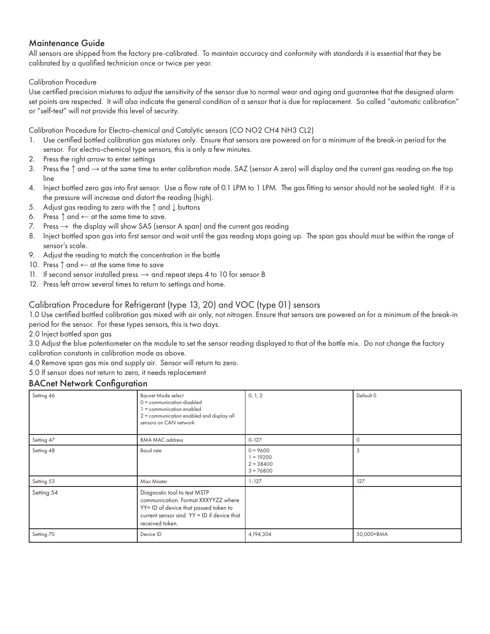### Maintenance Guide

All sensors are shipped from the factory pre-calibrated. To maintain accuracy and conformity with standards it is essential that they be calibrated by a qualified technician once or twice per year.

#### Calibration Procedure

Use certified precision mixtures to adjust the sensitivity of the sensor due to normal wear and aging and guarantee that the designed alarm set points are respected. It will also indicate the general condition of a sensor that is due for replacement. So called "automatic calibration" or "self-test" will not provide this level of security.

Calibration Procedure for Electro-chemical and Catalytic sensors (CO NO2 CH4 NH3 CL2)

- 1. Use certified bottled calibration gas mixtures only. Ensure that sensors are powered on for a minimum of the break-in period for the sensor. For electro-chemical type sensors, this is only a few minutes.
- 2. Press the right arrow to enter settings
- 3. Press the ↑ and → at the same time to enter calibration mode. SAZ (sensor A zero) will display and the current gas reading on the top line
- 4. Inject bottled zero gas into first sensor. Use a flow rate of 0.1 LPM to 1 LPM. The gas fitting to sensor should not be sealed tight. If it is the pressure will increase and distort the reading (high).
- 5. Adjust gas reading to zero with the ↑ and ↓ buttons
- 6. Press ↑ and ← at the same time to save.
- 7. Press  $\rightarrow$  the display will show SAS (sensor A span) and the current gas reading
- 8. Inject bottled span gas into first sensor and wait until the gas reading stops going up. The span gas should must be within the range of sensor's scale.
- 9. Adjust the reading to match the concentration in the bottle
- 10. Press ↑ and ← at the same time to save
- 11. If second sensor installed press  $\rightarrow$  and repeat steps 4 to 10 for sensor B
- 12. Press left arrow several times to return to settings and home.

### Calibration Procedure for Refrigerant (type 13, 20) and VOC (type 01) sensors

1.0 Use certified bottled calibration gas mixed with air only, not nitrogen. Ensure that sensors are powered on for a minimum of the break-in period for the sensor. For these types sensors, this is two days.

2.0 Inject bottled span gas

3.0 Adjust the blue potentiometer on the module to set the sensor reading displayed to that of the bottle mix. Do not change the factory calibration constants in calibration mode as above.

4.0 Remove span gas mix and supply air. Sensor will return to zero.

5.0 If sensor does not return to zero, it needs replacement

### BACnet Network Configuration

| Setting 46 | Bacnet Mode select<br>0 = communication disabled<br>= communication enabled<br>2 = communication enabled and display all<br>sensors on CAN network                           | 0, 1, 2                                                 | Default 0  |
|------------|------------------------------------------------------------------------------------------------------------------------------------------------------------------------------|---------------------------------------------------------|------------|
| Setting 47 | <b>BMA MAC address</b>                                                                                                                                                       | $0 - 127$                                               | $\Omega$   |
| Setting 48 | Baud rate                                                                                                                                                                    | $0 = 9600$<br>$1 = 19200$<br>$2 = 38400$<br>$3 = 76800$ | 3          |
| Setting 53 | Max Master                                                                                                                                                                   | $1 - 127$                                               | 127        |
| Setting 54 | Diagnostic tool to test MSTP<br>communication. Format XXXYYZZ where<br>YY= ID of device that passed token to<br>current sensor and YY = ID if device that<br>received token. |                                                         |            |
| Setting 70 | Device ID                                                                                                                                                                    | 4,194,304                                               | 50,000+BMA |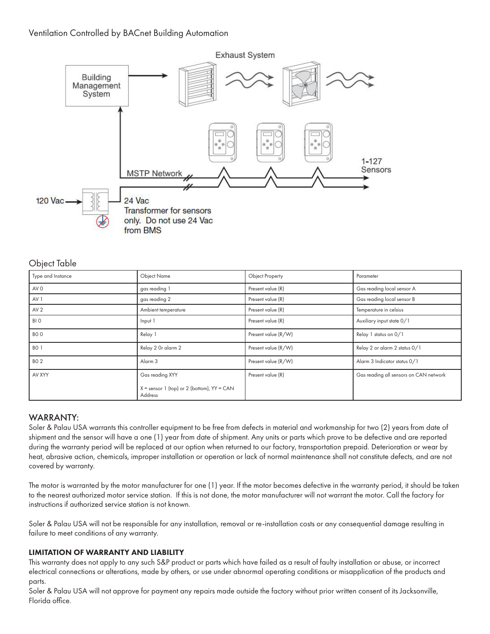### Ventilation Controlled by BACnet Building Automation



### Object Table

| Type and Instance | Object Name                                               | Object Property     | Parameter                              |
|-------------------|-----------------------------------------------------------|---------------------|----------------------------------------|
| AV 0              | gas reading                                               | Present value (R)   | Gas reading local sensor A             |
| AV <sub>1</sub>   | gas reading 2                                             | Present value (R)   | Gas reading local sensor B             |
| AV <sub>2</sub>   | Ambient temperature                                       | Present value (R)   | Temperature in celsius                 |
| BI O              | Input 1                                                   | Present value (R)   | Auxiliary input state 0/1              |
| BO <sub>O</sub>   | Relay 1                                                   | Present value (R/W) | Relay 1 status on 0/1                  |
| <b>BO 1</b>       | Relay 2 Or alarm 2                                        | Present value (R/W) | Relay 2 or alarm 2 status 0/1          |
| <b>BO 2</b>       | Alarm <sub>3</sub>                                        | Present value (R/W) | Alarm 3 Indicator status 0/1           |
| AV XYY            | Gas reading XYY                                           | Present value (R)   | Gas reading all sensors on CAN network |
|                   | $X =$ sensor 1 (top) or 2 (bottom), $YY = CAN$<br>Address |                     |                                        |

### WARRANTY:

Soler & Palau USA warrants this controller equipment to be free from defects in material and workmanship for two (2) years from date of shipment and the sensor will have a one (1) year from date of shipment. Any units or parts which prove to be defective and are reported during the warranty period will be replaced at our option when returned to our factory, transportation prepaid. Deterioration or wear by heat, abrasive action, chemicals, improper installation or operation or lack of normal maintenance shall not constitute defects, and are not covered by warranty.

The motor is warranted by the motor manufacturer for one (1) year. If the motor becomes defective in the warranty period, it should be taken to the nearest authorized motor service station. If this is not done, the motor manufacturer will not warrant the motor. Call the factory for instructions if authorized service station is not known.

Soler & Palau USA will not be responsible for any installation, removal or re-installation costs or any consequential damage resulting in failure to meet conditions of any warranty.

#### LIMITATION OF WARRANTY AND LIABILITY

This warranty does not apply to any such S&P product or parts which have failed as a result of faulty installation or abuse, or incorrect electrical connections or alterations, made by others, or use under abnormal operating conditions or misapplication of the products and parts.

Soler & Palau USA will not approve for payment any repairs made outside the factory without prior written consent of its Jacksonville, Florida office.